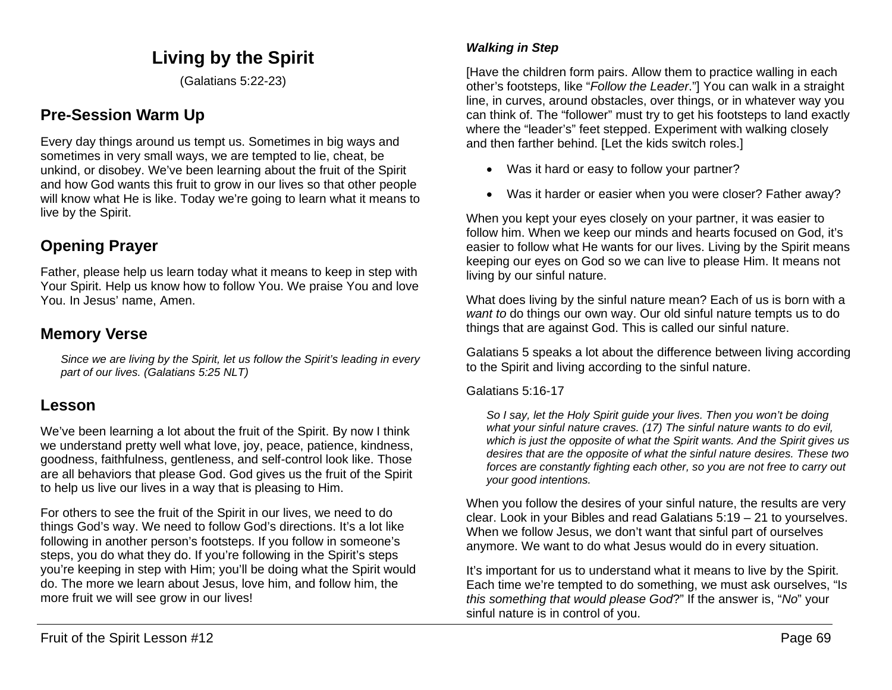# **Living by the Spirit**

(Galatians 5:22-23)

# **Pre-Session Warm Up**

Every day things around us tempt us. Sometimes in big ways and sometimes in very small ways, we are tempted to lie, cheat, be unkind, or disobey. We've been learning about the fruit of the Spirit and how God wants this fruit to grow in our lives so that other people will know what He is like. Today we're going to learn what it means to live by the Spirit.

# **Opening Prayer**

Father, please help us learn today what it means to keep in step with Your Spirit. Help us know how to follow You. We praise You and love You. In Jesus' name, Amen.

### **Memory Verse**

*Since we are living by the Spirit, let us follow the Spirit's leading in every part of our lives. (Galatians 5:25 NLT)*

### **Lesson**

We've been learning a lot about the fruit of the Spirit. By now I think we understand pretty well what love, joy, peace, patience, kindness, goodness, faithfulness, gentleness, and self-control look like. Those are all behaviors that please God. God gives us the fruit of the Spirit to help us live our lives in a way that is pleasing to Him.

For others to see the fruit of the Spirit in our lives, we need to do things God's way. We need to follow God's directions. It's a lot like following in another person's footsteps. If you follow in someone's steps, you do what they do. If you're following in the Spirit's steps you're keeping in step with Him; you'll be doing what the Spirit would do. The more we learn about Jesus, love him, and follow him, the more fruit we will see grow in our lives!

#### *Walking in Step*

[Have the children form pairs. Allow them to practice walling in each other's footsteps, like "*Follow the Leader*."] You can walk in a straight line, in curves, around obstacles, over things, or in whatever way you can think of. The "follower" must try to get his footsteps to land exactly where the "leader's" feet stepped. Experiment with walking closely and then farther behind. [Let the kids switch roles.]

- Was it hard or easy to follow your partner?
- Was it harder or easier when you were closer? Father away?

When you kept your eyes closely on your partner, it was easier to follow him. When we keep our minds and hearts focused on God, it's easier to follow what He wants for our lives. Living by the Spirit means keeping our eyes on God so we can live to please Him. It means not living by our sinful nature.

What does living by the sinful nature mean? Each of us is born with a *want to* do things our own way. Our old sinful nature tempts us to do things that are against God. This is called our sinful nature.

Galatians 5 speaks a lot about the difference between living according to the Spirit and living according to the sinful nature.

Galatians 5:16-17

*So I say, let the Holy Spirit guide your lives. Then you won't be doing what your sinful nature craves. (17) The sinful nature wants to do evil, which is just the opposite of what the Spirit wants. And the Spirit gives us desires that are the opposite of what the sinful nature desires. These two forces are constantly fighting each other, so you are not free to carry out your good intentions.*

When you follow the desires of your sinful nature, the results are very clear. Look in your Bibles and read Galatians 5:19 – 21 to yourselves. When we follow Jesus, we don't want that sinful part of ourselves anymore. We want to do what Jesus would do in every situation.

It's important for us to understand what it means to live by the Spirit. Each time we're tempted to do something, we must ask ourselves, "I*s this something that would please God*?" If the answer is, "*No*" your sinful nature is in control of you.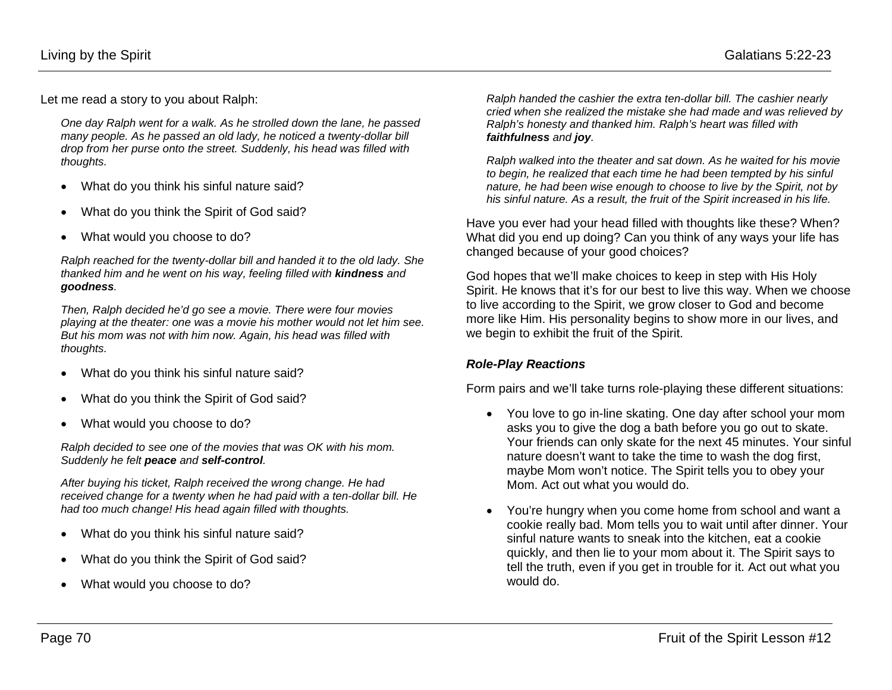Let me read a story to you about Ralph:

*One day Ralph went for a walk. As he strolled down the lane, he passed many people. As he passed an old lady, he noticed a twenty-dollar bill drop from her purse onto the street. Suddenly, his head was filled with thoughts.* 

- What do you think his sinful nature said?
- What do you think the Spirit of God said?
- What would you choose to do?

*Ralph reached for the twenty-dollar bill and handed it to the old lady. She thanked him and he went on his way, feeling filled with kindness and goodness.* 

*Then, Ralph decided he'd go see a movie. There were four movies playing at the theater: one was a movie his mother would not let him see. But his mom was not with him now. Again, his head was filled with thoughts.*

- What do you think his sinful nature said?
- What do you think the Spirit of God said?
- What would you choose to do?

*Ralph decided to see one of the movies that was OK with his mom. Suddenly he felt peace and self-control.*

*After buying his ticket, Ralph received the wrong change. He had received change for a twenty when he had paid with a ten-dollar bill. He had too much change! His head again filled with thoughts.* 

- What do you think his sinful nature said?
- What do you think the Spirit of God said?
- What would you choose to do?

*Ralph handed the cashier the extra ten-dollar bill. The cashier nearly cried when she realized the mistake she had made and was relieved by Ralph's honesty and thanked him. Ralph's heart was filled with faithfulness and joy.*

*Ralph walked into the theater and sat down. As he waited for his movie to begin, he realized that each time he had been tempted by his sinful nature, he had been wise enough to choose to live by the Spirit, not by his sinful nature. As a result, the fruit of the Spirit increased in his life.* 

Have you ever had your head filled with thoughts like these? When? What did you end up doing? Can you think of any ways your life has changed because of your good choices?

God hopes that we'll make choices to keep in step with His Holy Spirit. He knows that it's for our best to live this way. When we choose to live according to the Spirit, we grow closer to God and become more like Him. His personality begins to show more in our lives, and we begin to exhibit the fruit of the Spirit.

#### *Role-Play Reactions*

Form pairs and we'll take turns role-playing these different situations:

- You love to go in-line skating. One day after school your mom asks you to give the dog a bath before you go out to skate. Your friends can only skate for the next 45 minutes. Your sinful nature doesn't want to take the time to wash the dog first, maybe Mom won't notice. The Spirit tells you to obey your Mom. Act out what you would do.
- You're hungry when you come home from school and want a cookie really bad. Mom tells you to wait until after dinner. Your sinful nature wants to sneak into the kitchen, eat a cookie quickly, and then lie to your mom about it. The Spirit says to tell the truth, even if you get in trouble for it. Act out what you would do.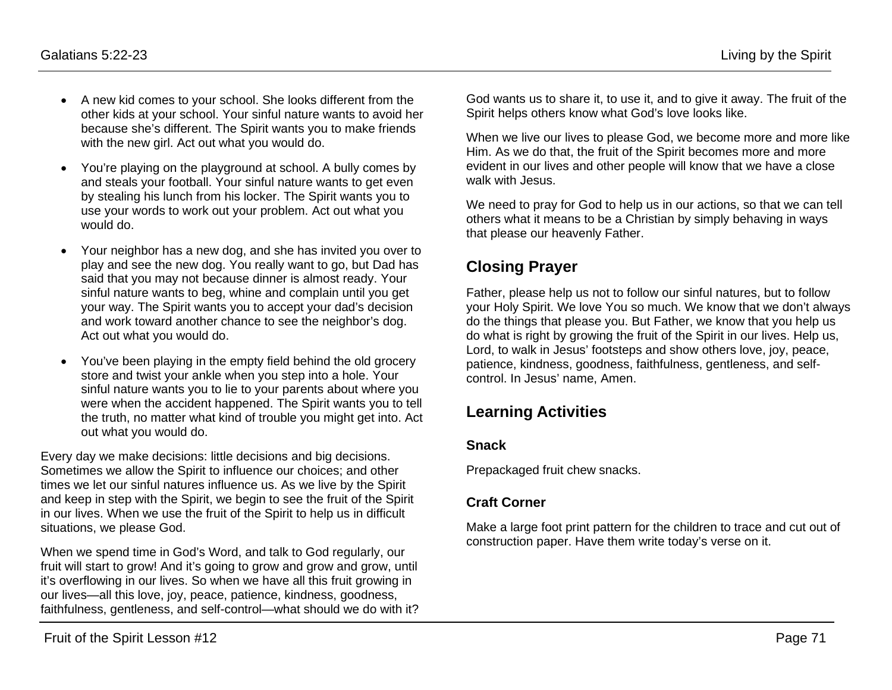- A new kid comes to your school. She looks different from the other kids at your school. Your sinful nature wants to avoid her because she's different. The Spirit wants you to make friends with the new girl. Act out what you would do.
- You're playing on the playground at school. A bully comes by and steals your football. Your sinful nature wants to get even by stealing his lunch from his locker. The Spirit wants you to use your words to work out your problem. Act out what you would do.
- Your neighbor has a new dog, and she has invited you over to play and see the new dog. You really want to go, but Dad has said that you may not because dinner is almost ready. Your sinful nature wants to beg, whine and complain until you get your way. The Spirit wants you to accept your dad's decision and work toward another chance to see the neighbor's dog. Act out what you would do.
- You've been playing in the empty field behind the old grocery store and twist your ankle when you step into a hole. Your sinful nature wants you to lie to your parents about where you were when the accident happened. The Spirit wants you to tell the truth, no matter what kind of trouble you might get into. Act out what you would do.

Every day we make decisions: little decisions and big decisions. Sometimes we allow the Spirit to influence our choices; and other times we let our sinful natures influence us. As we live by the Spirit and keep in step with the Spirit, we begin to see the fruit of the Spirit in our lives. When we use the fruit of the Spirit to help us in difficult situations, we please God.

When we spend time in God's Word, and talk to God regularly, our fruit will start to grow! And it's going to grow and grow and grow, until it's overflowing in our lives. So when we have all this fruit growing in our lives—all this love, joy, peace, patience, kindness, goodness, faithfulness, gentleness, and self-control—what should we do with it? God wants us to share it, to use it, and to give it away. The fruit of the Spirit helps others know what God's love looks like.

When we live our lives to please God, we become more and more like Him. As we do that, the fruit of the Spirit becomes more and more evident in our lives and other people will know that we have a close walk with Jesus.

We need to pray for God to help us in our actions, so that we can tell others what it means to be a Christian by simply behaving in ways that please our heavenly Father.

# **Closing Prayer**

Father, please help us not to follow our sinful natures, but to follow your Holy Spirit. We love You so much. We know that we don't always do the things that please you. But Father, we know that you help us do what is right by growing the fruit of the Spirit in our lives. Help us, Lord, to walk in Jesus' footsteps and show others love, joy, peace, patience, kindness, goodness, faithfulness, gentleness, and selfcontrol. In Jesus' name, Amen.

## **Learning Activities**

#### **Snack**

Prepackaged fruit chew snacks.

### **Craft Corner**

Make a large foot print pattern for the children to trace and cut out of construction paper. Have them write today's verse on it.